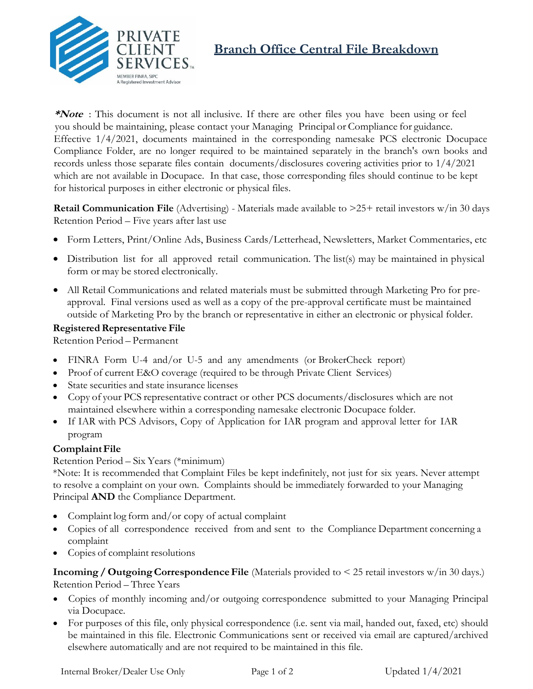

# **Branch Office Central File Breakdown**

**\*Note** : This document is not all inclusive. If there are other files you have been using or feel you should be maintaining, please contact your Managing Principal or Compliance for guidance. Effective 1/4/2021, documents maintained in the corresponding namesake PCS electronic Docupace Compliance Folder, are no longer required to be maintained separately in the branch's own books and records unless those separate files contain documents/disclosures covering activities prior to 1/4/2021 which are not available in Docupace. In that case, those corresponding files should continue to be kept for historical purposes in either electronic or physical files.

**Retail Communication File** (Advertising) - Materials made available to  $>25+$  retail investors w/in 30 days Retention Period – Five years after last use

- Form Letters, Print/Online Ads, Business Cards/Letterhead, Newsletters, Market Commentaries, etc
- Distribution list for all approved retail communication. The list(s) may be maintained in physical form or may be stored electronically.
- All Retail Communications and related materials must be submitted through Marketing Pro for preapproval. Final versions used as well as a copy of the pre-approval certificate must be maintained outside of Marketing Pro by the branch or representative in either an electronic or physical folder.

# **Registered Representative File**

Retention Period – Permanent

- FINRA Form U-4 and/or U-5 and any amendments (or BrokerCheck report)
- Proof of current E&O coverage (required to be through Private Client Services)
- State securities and state insurance licenses
- Copy of your PCS representative contract or other PCS documents/disclosures which are not maintained elsewhere within a corresponding namesake electronic Docupace folder.
- If IAR with PCS Advisors, Copy of Application for IAR program and approval letter for IAR program

# **Complaint File**

## Retention Period – Six Years (\*minimum)

\*Note: It is recommended that Complaint Files be kept indefinitely, not just for six years. Never attempt to resolve a complaint on your own. Complaints should be immediately forwarded to your Managing Principal **AND** the Compliance Department.

- Complaint log form and/or copy of actual complaint
- Copies of all correspondence received from and sent to the Compliance Department concerning a complaint
- Copies of complaint resolutions

**Incoming / Outgoing Correspondence File** (Materials provided to < 25 retail investors w/in 30 days.) Retention Period – Three Years

- Copies of monthly incoming and/or outgoing correspondence submitted to your Managing Principal via Docupace.
- For purposes of this file, only physical correspondence (i.e. sent via mail, handed out, faxed, etc) should be maintained in this file. Electronic Communications sent or received via email are captured/archived elsewhere automatically and are not required to be maintained in this file.